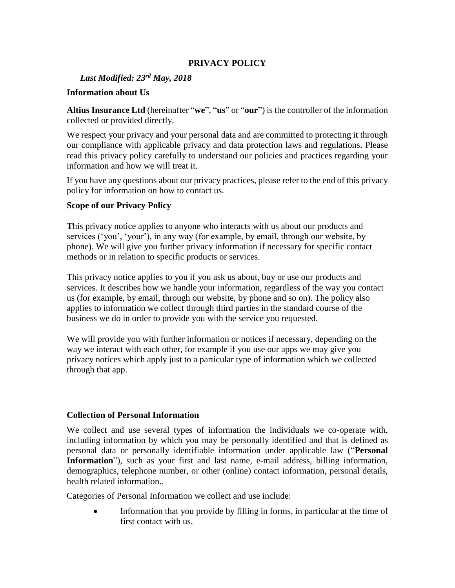# **PRIVACY POLICY**

## *Last Modified: 23rd May, 2018*

## **Information about Us**

**Altius Insurance Ltd** (hereinafter "**we**", "**us**" or "**our**") is the controller of the information collected or provided directly.

We respect your privacy and your personal data and are committed to protecting it through our compliance with applicable privacy and data protection laws and regulations. Please read this privacy policy carefully to understand our policies and practices regarding your information and how we will treat it.

If you have any questions about our privacy practices, please refer to the end of this privacy policy for information on how to contact us.

## **Scope of our Privacy Policy**

**T**his privacy notice applies to anyone who interacts with us about our products and services ('you', 'your'), in any way (for example, by email, through our website, by phone). We will give you further privacy information if necessary for specific contact methods or in relation to specific products or services.

This privacy notice applies to you if you ask us about, buy or use our products and services. It describes how we handle your information, regardless of the way you contact us (for example, by email, through our website, by phone and so on). The policy also applies to information we collect through third parties in the standard course of the business we do in order to provide you with the service you requested.

We will provide you with further information or notices if necessary, depending on the way we interact with each other, for example if you use our apps we may give you privacy notices which apply just to a particular type of information which we collected through that app.

### **Collection of Personal Information**

We collect and use several types of information the individuals we co-operate with, including information by which you may be personally identified and that is defined as personal data or personally identifiable information under applicable law ("**Personal Information**"), such as your first and last name, e-mail address, billing information, demographics, telephone number, or other (online) contact information, personal details, health related information..

Categories of Personal Information we collect and use include:

• Information that you provide by filling in forms, in particular at the time of first contact with us.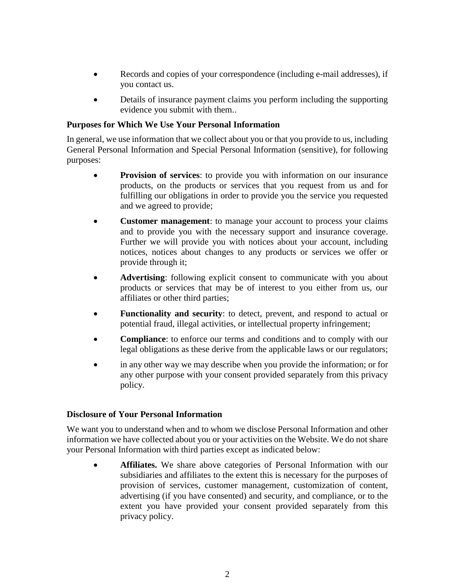- Records and copies of your correspondence (including e-mail addresses), if you contact us.
- Details of insurance payment claims you perform including the supporting evidence you submit with them..

## **Purposes for Which We Use Your Personal Information**

In general, we use information that we collect about you or that you provide to us, including General Personal Information and Special Personal Information (sensitive), for following purposes:

- **Provision of services**: to provide you with information on our insurance products, on the products or services that you request from us and for fulfilling our obligations in order to provide you the service you requested and we agreed to provide;
- **Customer management**: to manage your account to process your claims and to provide you with the necessary support and insurance coverage. Further we will provide you with notices about your account, including notices, notices about changes to any products or services we offer or provide through it;
- **Advertising**: following explicit consent to communicate with you about products or services that may be of interest to you either from us, our affiliates or other third parties;
- **Functionality and security**: to detect, prevent, and respond to actual or potential fraud, illegal activities, or intellectual property infringement;
- **Compliance**: to enforce our terms and conditions and to comply with our legal obligations as these derive from the applicable laws or our regulators;
- in any other way we may describe when you provide the information; or for any other purpose with your consent provided separately from this privacy policy.

# **Disclosure of Your Personal Information**

We want you to understand when and to whom we disclose Personal Information and other information we have collected about you or your activities on the Website. We do not share your Personal Information with third parties except as indicated below:

• **Affiliates.** We share above categories of Personal Information with our subsidiaries and affiliates to the extent this is necessary for the purposes of provision of services, customer management, customization of content, advertising (if you have consented) and security, and compliance, or to the extent you have provided your consent provided separately from this privacy policy.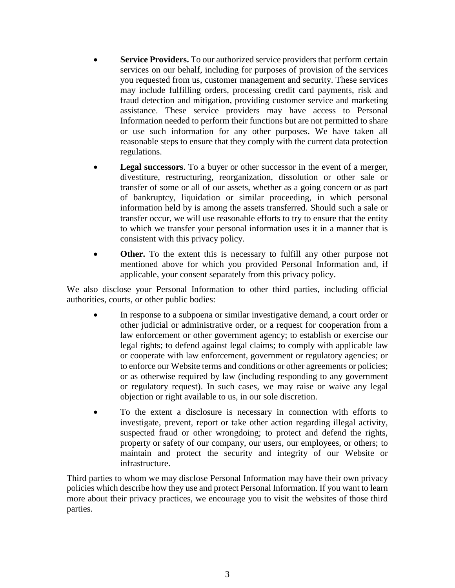- **Service Providers.** To our authorized service providers that perform certain services on our behalf, including for purposes of provision of the services you requested from us, customer management and security. These services may include fulfilling orders, processing credit card payments, risk and fraud detection and mitigation, providing customer service and marketing assistance. These service providers may have access to Personal Information needed to perform their functions but are not permitted to share or use such information for any other purposes. We have taken all reasonable steps to ensure that they comply with the current data protection regulations.
- **Legal successors**. To a buyer or other successor in the event of a merger, divestiture, restructuring, reorganization, dissolution or other sale or transfer of some or all of our assets, whether as a going concern or as part of bankruptcy, liquidation or similar proceeding, in which personal information held by is among the assets transferred. Should such a sale or transfer occur, we will use reasonable efforts to try to ensure that the entity to which we transfer your personal information uses it in a manner that is consistent with this privacy policy.
- **Other.** To the extent this is necessary to fulfill any other purpose not mentioned above for which you provided Personal Information and, if applicable, your consent separately from this privacy policy.

We also disclose your Personal Information to other third parties, including official authorities, courts, or other public bodies:

- In response to a subpoena or similar investigative demand, a court order or other judicial or administrative order, or a request for cooperation from a law enforcement or other government agency; to establish or exercise our legal rights; to defend against legal claims; to comply with applicable law or cooperate with law enforcement, government or regulatory agencies; or to enforce our Website terms and conditions or other agreements or policies; or as otherwise required by law (including responding to any government or regulatory request). In such cases, we may raise or waive any legal objection or right available to us, in our sole discretion.
- To the extent a disclosure is necessary in connection with efforts to investigate, prevent, report or take other action regarding illegal activity, suspected fraud or other wrongdoing; to protect and defend the rights, property or safety of our company, our users, our employees, or others; to maintain and protect the security and integrity of our Website or infrastructure.

Third parties to whom we may disclose Personal Information may have their own privacy policies which describe how they use and protect Personal Information. If you want to learn more about their privacy practices, we encourage you to visit the websites of those third parties.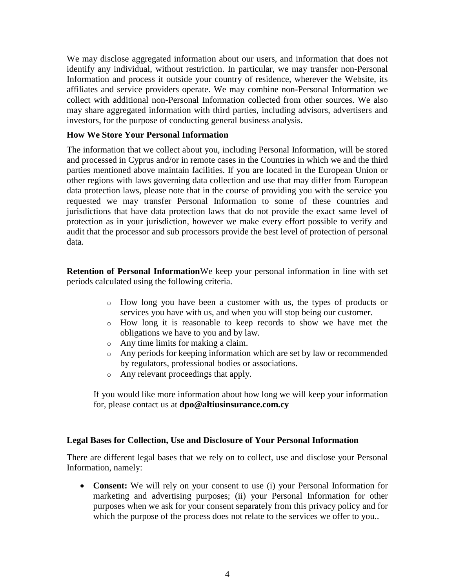We may disclose aggregated information about our users, and information that does not identify any individual, without restriction. In particular, we may transfer non-Personal Information and process it outside your country of residence, wherever the Website, its [affiliates](https://www.linkedin.com/legal/privacy-policy#Section_2_5) and service providers operate. We may combine non-Personal Information we collect with additional non-Personal Information collected from other sources. We also may share aggregated information with third parties, including advisors, advertisers and investors, for the purpose of conducting general business analysis.

## **How We Store Your Personal Information**

The information that we collect about you, including Personal Information, will be stored and processed in Cyprus and/or in remote cases in the Countries in which we and the third parties mentioned above maintain facilities. If you are located in the European Union or other regions with laws governing data collection and use that may differ from European data protection laws, please note that in the course of providing you with the service you requested we may transfer Personal Information to some of these countries and jurisdictions that have data protection laws that do not provide the exact same level of protection as in your jurisdiction, however we make every effort possible to verify and audit that the processor and sub processors provide the best level of protection of personal data.

**Retention of Personal Information**We keep your personal information in line with set periods calculated using the following criteria.

- o How long you have been a customer with us, the types of products or services you have with us, and when you will stop being our customer.
- o How long it is reasonable to keep records to show we have met the obligations we have to you and by law.
- o Any time limits for making a claim.
- o Any periods for keeping information which are set by law or recommended by regulators, professional bodies or associations.
- o Any relevant proceedings that apply.

If you would like more information about how long we will keep your information for, please contact us at **dpo@altiusinsurance.com.cy**

### **Legal Bases for Collection, Use and Disclosure of Your Personal Information**

There are different legal bases that we rely on to collect, use and disclose your Personal Information, namely:

• **Consent:** We will rely on your consent to use (i) your Personal Information for marketing and advertising purposes; (ii) your Personal Information for other purposes when we ask for your consent separately from this privacy policy and for which the purpose of the process does not relate to the services we offer to you..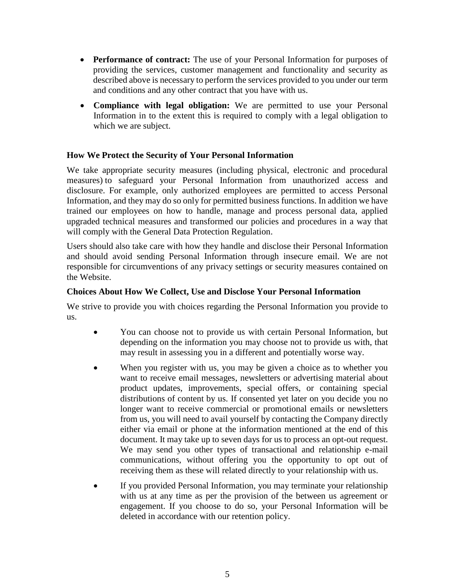- **Performance of contract:** The use of your Personal Information for purposes of providing the services, customer management and functionality and security as described above is necessary to perform the services provided to you under our term and conditions and any other contract that you have with us.
- **Compliance with legal obligation:** We are permitted to use your Personal Information in to the extent this is required to comply with a legal obligation to which we are subject.

## **How We Protect the Security of Your Personal Information**

We take appropriate security measures (including physical, electronic and procedural measures) to safeguard your Personal Information from unauthorized access and disclosure. For example, only authorized employees are permitted to access Personal Information, and they may do so only for permitted business functions. In addition we have trained our employees on how to handle, manage and process personal data, applied upgraded technical measures and transformed our policies and procedures in a way that will comply with the General Data Protection Regulation.

Users should also take care with how they handle and disclose their Personal Information and should avoid sending Personal Information through insecure email. We are not responsible for circumventions of any privacy settings or security measures contained on the Website.

## **Choices About How We Collect, Use and Disclose Your Personal Information**

We strive to provide you with choices regarding the Personal Information you provide to us.

- You can choose not to provide us with certain Personal Information, but depending on the information you may choose not to provide us with, that may result in assessing you in a different and potentially worse way.
- When you register with us, you may be given a choice as to whether you want to receive email messages, newsletters or advertising material about product updates, improvements, special offers, or containing special distributions of content by us. If consented yet later on you decide you no longer want to receive commercial or promotional emails or newsletters from us, you will need to avail yourself by contacting the Company directly either via email or phone at the information mentioned at the end of this document. It may take up to seven days for us to process an opt-out request. We may send you other types of transactional and relationship e-mail communications, without offering you the opportunity to opt out of receiving them as these will related directly to your relationship with us.
- If you provided Personal Information, you may terminate your relationship with us at any time as per the provision of the between us agreement or engagement. If you choose to do so, your Personal Information will be deleted in accordance with our retention policy.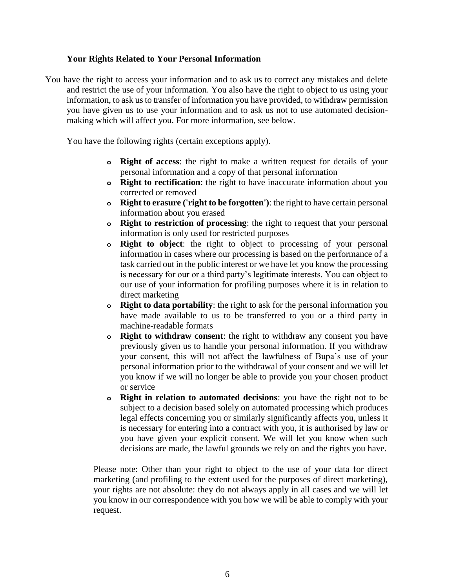### **Your Rights Related to Your Personal Information**

You have the right to access your information and to ask us to correct any mistakes and delete and restrict the use of your information. You also have the right to object to us using your information, to ask us to transfer of information you have provided, to withdraw permission you have given us to use your information and to ask us not to use automated decisionmaking which will affect you. For more information, see below.

You have the following rights (certain exceptions apply).

- **o Right of access**: the right to make a written request for details of your personal information and a copy of that personal information
- **o Right to rectification**: the right to have inaccurate information about you corrected or removed
- **o Right to erasure ('right to be forgotten')**: the right to have certain personal information about you erased
- **o Right to restriction of processing**: the right to request that your personal information is only used for restricted purposes
- **o Right to object**: the right to object to processing of your personal information in cases where our processing is based on the performance of a task carried out in the public interest or we have let you know the processing is necessary for our or a third party's legitimate interests. You can object to our use of your information for profiling purposes where it is in relation to direct marketing
- **o Right to data portability**: the right to ask for the personal information you have made available to us to be transferred to you or a third party in machine-readable formats
- **o Right to withdraw consent**: the right to withdraw any consent you have previously given us to handle your personal information. If you withdraw your consent, this will not affect the lawfulness of Bupa's use of your personal information prior to the withdrawal of your consent and we will let you know if we will no longer be able to provide you your chosen product or service
- **o Right in relation to automated decisions**: you have the right not to be subject to a decision based solely on automated processing which produces legal effects concerning you or similarly significantly affects you, unless it is necessary for entering into a contract with you, it is authorised by law or you have given your explicit consent. We will let you know when such decisions are made, the lawful grounds we rely on and the rights you have.

Please note: Other than your right to object to the use of your data for direct marketing (and profiling to the extent used for the purposes of direct marketing), your rights are not absolute: they do not always apply in all cases and we will let you know in our correspondence with you how we will be able to comply with your request.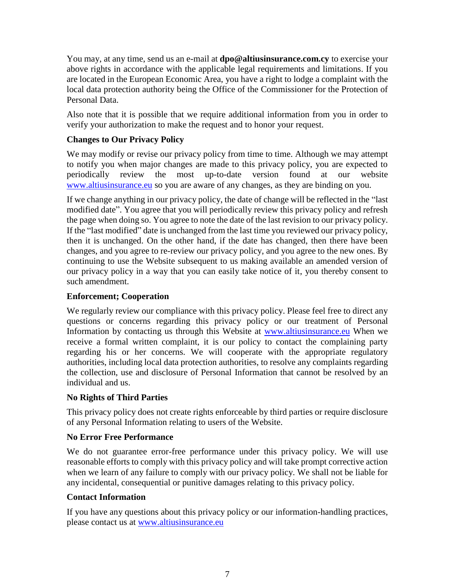You may, at any time, send us an e-mail at **dpo@altiusinsurance.com.cy** to exercise your above rights in accordance with the applicable legal requirements and limitations. If you are located in the European Economic Area, you have a right to lodge a complaint with the local data protection authority being the Office of the Commissioner for the Protection of Personal Data.

Also note that it is possible that we require additional information from you in order to verify your authorization to make the request and to honor your request.

# **Changes to Our Privacy Policy**

We may modify or revise our privacy policy from time to time. Although we may attempt to notify you when major changes are made to this privacy policy, you are expected to periodically review the most up-to-date version found at our website [www.altiusinsurance.eu](http://www.altiusinsurance.eu/) so you are aware of any changes, as they are binding on you.

If we change anything in our privacy policy, the date of change will be reflected in the "last modified date". You agree that you will periodically review this privacy policy and refresh the page when doing so. You agree to note the date of the last revision to our privacy policy. If the "last modified" date is unchanged from the last time you reviewed our privacy policy, then it is unchanged. On the other hand, if the date has changed, then there have been changes, and you agree to re-review our privacy policy, and you agree to the new ones. By continuing to use the Website subsequent to us making available an amended version of our privacy policy in a way that you can easily take notice of it, you thereby consent to such amendment.

# **Enforcement; Cooperation**

We regularly review our compliance with this privacy policy. Please feel free to direct any questions or concerns regarding this privacy policy or our treatment of Personal Information by contacting us through this Website at [www.altiusinsurance.eu](http://www.altiusinsurance.eu/) When we receive a formal written complaint, it is our policy to contact the complaining party regarding his or her concerns. We will cooperate with the appropriate regulatory authorities, including local data protection authorities, to resolve any complaints regarding the collection, use and disclosure of Personal Information that cannot be resolved by an individual and us.

# **No Rights of Third Parties**

This privacy policy does not create rights enforceable by third parties or require disclosure of any Personal Information relating to users of the Website.

# **No Error Free Performance**

We do not guarantee error-free performance under this privacy policy. We will use reasonable efforts to comply with this privacy policy and will take prompt corrective action when we learn of any failure to comply with our privacy policy. We shall not be liable for any incidental, consequential or punitive damages relating to this privacy policy.

# **Contact Information**

If you have any questions about this privacy policy or our information-handling practices, please contact us at [www.altiusinsurance.eu](http://www.altiusinsurance.eu/)